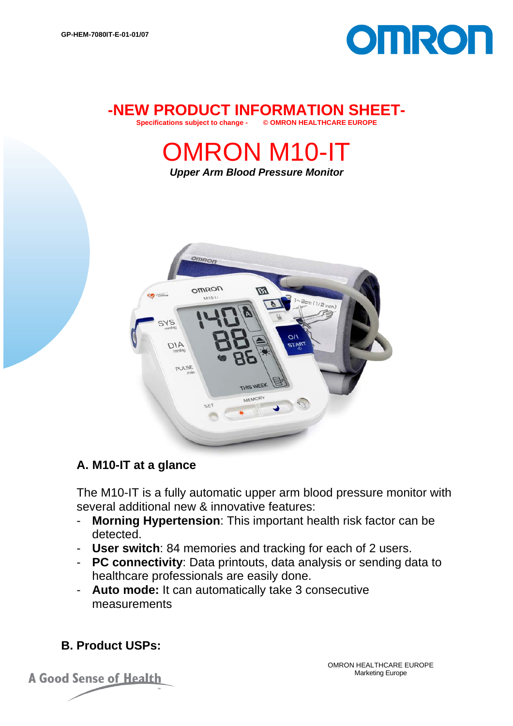

#### **-NEW PRODUCT INFORMATION SHEET-**<br>Specifications subject to change - @ QMRON HEALTHCARE FUROPE **Specifications subject to change -**

OMRON M10-IT

*Upper Arm Blood Pressure Monitor* 



## **A. M10-IT at a glance**

The M10-IT is a fully automatic upper arm blood pressure monitor with several additional new & innovative features:

- **Morning Hypertension**: This important health risk factor can be detected.
- **User switch**: 84 memories and tracking for each of 2 users.
- **PC connectivity**: Data printouts, data analysis or sending data to healthcare professionals are easily done.
- **Auto mode:** It can automatically take 3 consecutive measurements

# **B. Product USPs:**

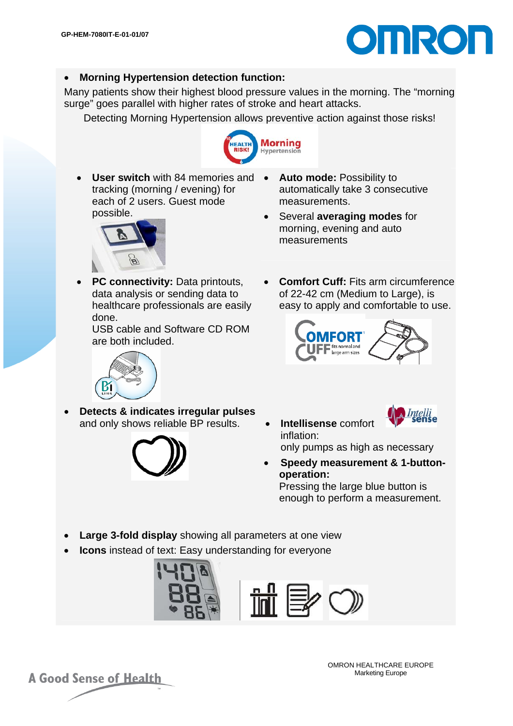

#### • **Morning Hypertension detection function:**

Many patients show their highest blood pressure values in the morning. The "morning surge" goes parallel with higher rates of stroke and heart attacks.

Detecting Morning Hypertension allows preventive action against those risks!



• **User switch** with 84 memories and tracking (morning / evening) for each of 2 users. Guest mode possible.



• Several **averaging modes** for morning, evening and auto

measurements



• **PC connectivity:** Data printouts, data analysis or sending data to healthcare professionals are easily done.

USB cable and Software CD ROM are both included.

• **Comfort Cuff:** Fits arm circumference of 22-42 cm (Medium to Large), is easy to apply and comfortable to use.





• **Detects & indicates irregular pulses** and only shows reliable BP results. • **Intellisense** comfort



- inflation: only pumps as high as necessary
- **Speedy measurement & 1-buttonoperation:**  Pressing the large blue button is

enough to perform a measurement.

- **Large 3-fold display** showing all parameters at one view
- **Icons** instead of text: Easy understanding for everyone



**A Good Sense of Health** 

OMRON HEALTHCARE EUROPE Marketing Europe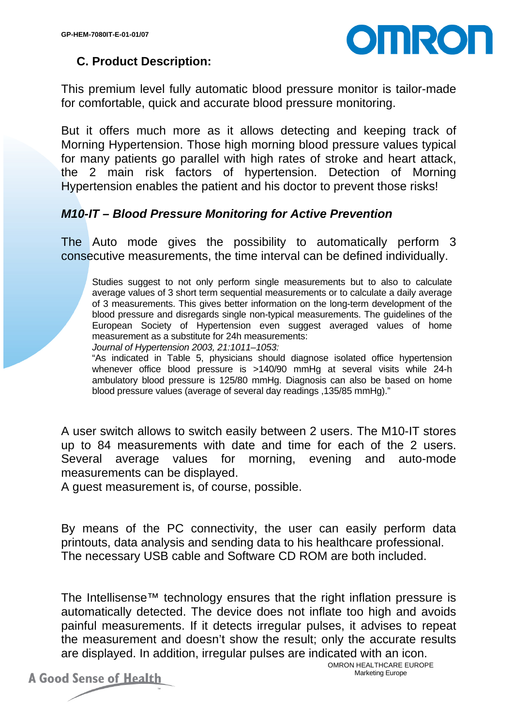

## **C. Product Description:**

This premium level fully automatic blood pressure monitor is tailor-made for comfortable, quick and accurate blood pressure monitoring.

But it offers much more as it allows detecting and keeping track of Morning Hypertension. Those high morning blood pressure values typical for many patients go parallel with high rates of stroke and heart attack, the 2 main risk factors of hypertension. Detection of Morning Hypertension enables the patient and his doctor to prevent those risks!

#### *M10-IT – Blood Pressure Monitoring for Active Prevention*

The Auto mode gives the possibility to automatically perform 3 consecutive measurements, the time interval can be defined individually.

Studies suggest to not only perform single measurements but to also to calculate average values of 3 short term sequential measurements or to calculate a daily average of 3 measurements. This gives better information on the long-term development of the blood pressure and disregards single non-typical measurements. The guidelines of the European Society of Hypertension even suggest averaged values of home measurement as a substitute for 24h measurements:

*Journal of Hypertension 2003, 21:1011–1053:* 

"As indicated in Table 5, physicians should diagnose isolated office hypertension whenever office blood pressure is >140/90 mmHg at several visits while 24-h ambulatory blood pressure is 125/80 mmHg. Diagnosis can also be based on home blood pressure values (average of several day readings ,135/85 mmHg)."

A user switch allows to switch easily between 2 users. The M10-IT stores up to 84 measurements with date and time for each of the 2 users. Several average values for morning, evening and auto-mode measurements can be displayed.

A guest measurement is, of course, possible.

By means of the PC connectivity, the user can easily perform data printouts, data analysis and sending data to his healthcare professional. The necessary USB cable and Software CD ROM are both included.

The Intellisense™ technology ensures that the right inflation pressure is automatically detected. The device does not inflate too high and avoids painful measurements. If it detects irregular pulses, it advises to repeat the measurement and doesn't show the result; only the accurate results are displayed. In addition, irregular pulses are indicated with an icon.

OMRON HEALTHCARE EUROPE Marketing Europe

**A Good Sense of Health**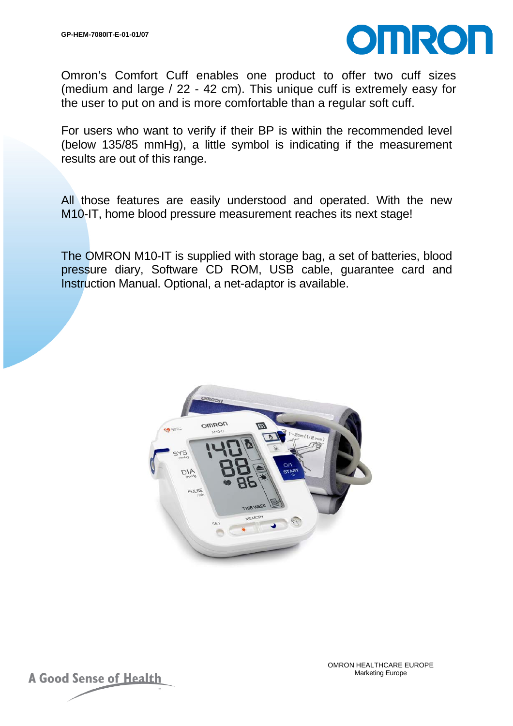

Omron's Comfort Cuff enables one product to offer two cuff sizes (medium and large / 22 - 42 cm). This unique cuff is extremely easy for the user to put on and is more comfortable than a regular soft cuff.

For users who want to verify if their BP is within the recommended level (below 135/85 mmHg), a little symbol is indicating if the measurement results are out of this range.

All those features are easily understood and operated. With the new M10-IT, home blood pressure measurement reaches its next stage!

The OMRON M10-IT is supplied with storage bag, a set of batteries, blood pressure diary, Software CD ROM, USB cable, guarantee card and Instruction Manual. Optional, a net-adaptor is available.



![](_page_3_Picture_8.jpeg)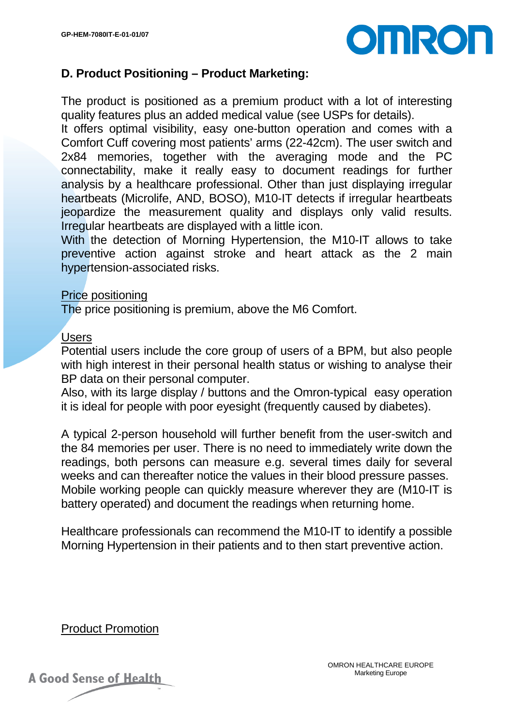![](_page_4_Picture_1.jpeg)

### **D. Product Positioning – Product Marketing:**

The product is positioned as a premium product with a lot of interesting quality features plus an added medical value (see USPs for details).

It offers optimal visibility, easy one-button operation and comes with a Comfort Cuff covering most patients' arms (22-42cm). The user switch and 2x84 memories, together with the averaging mode and the PC connectability, make it really easy to document readings for further analysis by a healthcare professional. Other than just displaying irregular heartbeats (Microlife, AND, BOSO), M10-IT detects if irregular heartbeats jeopardize the measurement quality and displays only valid results. Irregular heartbeats are displayed with a little icon.

With the detection of Morning Hypertension, the M10-IT allows to take preventive action against stroke and heart attack as the 2 main hypertension-associated risks.

#### Price positioning

The price positioning is premium, above the M6 Comfort.

#### **Users**

Potential users include the core group of users of a BPM, but also people with high interest in their personal health status or wishing to analyse their BP data on their personal computer.

Also, with its large display / buttons and the Omron-typical easy operation it is ideal for people with poor eyesight (frequently caused by diabetes).

A typical 2-person household will further benefit from the user-switch and the 84 memories per user. There is no need to immediately write down the readings, both persons can measure e.g. several times daily for several weeks and can thereafter notice the values in their blood pressure passes. Mobile working people can quickly measure wherever they are (M10-IT is battery operated) and document the readings when returning home.

Healthcare professionals can recommend the M10-IT to identify a possible Morning Hypertension in their patients and to then start preventive action.

Product Promotion

![](_page_4_Picture_14.jpeg)

**A Good Sense of Health**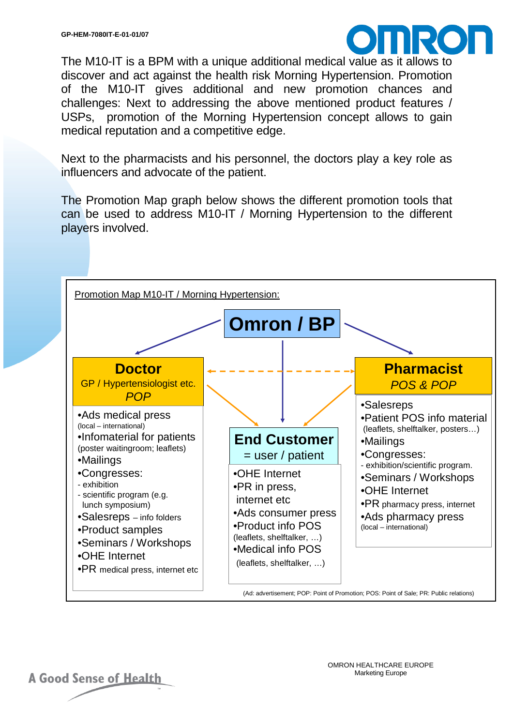![](_page_5_Picture_1.jpeg)

The M10-IT is a BPM with a unique additional medical value as it allows to discover and act against the health risk Morning Hypertension. Promotion of the M10-IT gives additional and new promotion chances and challenges: Next to addressing the above mentioned product features / USPs, promotion of the Morning Hypertension concept allows to gain medical reputation and a competitive edge.

Next to the pharmacists and his personnel, the doctors play a key role as influencers and advocate of the patient.

The Promotion Map graph below shows the different promotion tools that can be used to address M10-IT / Morning Hypertension to the different players involved.

![](_page_5_Figure_5.jpeg)

**A Good Sense of Health** 

OMRON HEALTHCARE EUROPE Marketing Europe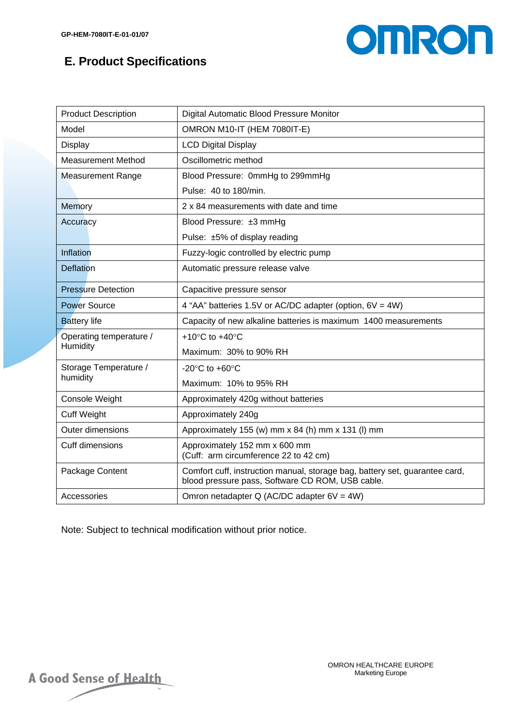# **E. Product Specifications**

![](_page_6_Picture_2.jpeg)

| <b>Product Description</b>          | Digital Automatic Blood Pressure Monitor                                                                                        |  |  |
|-------------------------------------|---------------------------------------------------------------------------------------------------------------------------------|--|--|
| Model                               | OMRON M10-IT (HEM 7080IT-E)                                                                                                     |  |  |
| Display                             | <b>LCD Digital Display</b>                                                                                                      |  |  |
| <b>Measurement Method</b>           | Oscillometric method                                                                                                            |  |  |
| <b>Measurement Range</b>            | Blood Pressure: 0mmHg to 299mmHg                                                                                                |  |  |
|                                     | Pulse: 40 to 180/min.                                                                                                           |  |  |
| Memory                              | 2 x 84 measurements with date and time                                                                                          |  |  |
| Accuracy                            | Blood Pressure: ±3 mmHg                                                                                                         |  |  |
|                                     | Pulse: ±5% of display reading                                                                                                   |  |  |
| Inflation                           | Fuzzy-logic controlled by electric pump                                                                                         |  |  |
| <b>Deflation</b>                    | Automatic pressure release valve                                                                                                |  |  |
| <b>Pressure Detection</b>           | Capacitive pressure sensor                                                                                                      |  |  |
| <b>Power Source</b>                 | 4 "AA" batteries 1.5V or AC/DC adapter (option, 6V = 4W)                                                                        |  |  |
| <b>Battery life</b>                 | Capacity of new alkaline batteries is maximum 1400 measurements                                                                 |  |  |
| Operating temperature /<br>Humidity | +10 $\degree$ C to +40 $\degree$ C                                                                                              |  |  |
|                                     | Maximum: 30% to 90% RH                                                                                                          |  |  |
| Storage Temperature /<br>humidity   | -20 $\mathrm{^{\circ}C}$ to +60 $\mathrm{^{\circ}C}$                                                                            |  |  |
|                                     | Maximum: 10% to 95% RH                                                                                                          |  |  |
| Console Weight                      | Approximately 420g without batteries                                                                                            |  |  |
| <b>Cuff Weight</b>                  | Approximately 240g                                                                                                              |  |  |
| <b>Outer dimensions</b>             | Approximately 155 (w) mm x 84 (h) mm x 131 (l) mm                                                                               |  |  |
| Cuff dimensions                     | Approximately 152 mm x 600 mm<br>(Cuff: arm circumference 22 to 42 cm)                                                          |  |  |
| Package Content                     | Comfort cuff, instruction manual, storage bag, battery set, guarantee card,<br>blood pressure pass, Software CD ROM, USB cable. |  |  |
| Accessories                         | Omron netadapter Q (AC/DC adapter $6V = 4W$ )                                                                                   |  |  |

Note: Subject to technical modification without prior notice.

A Good Sense of Health